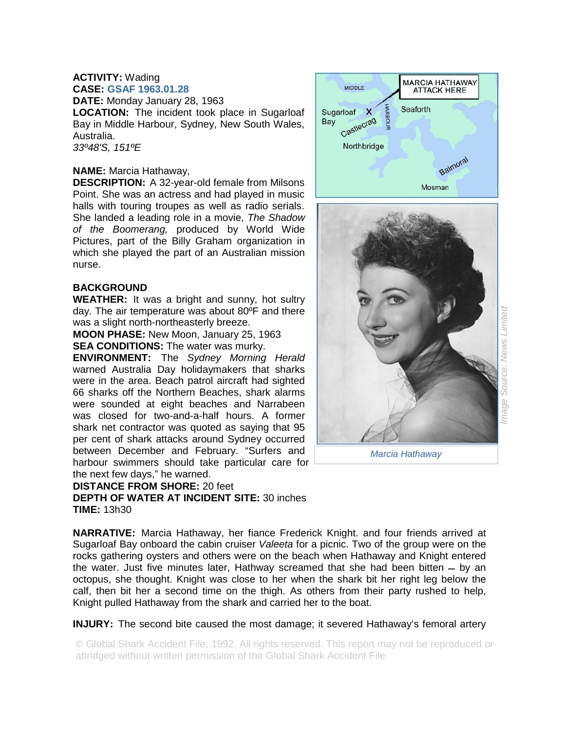## **ACTIVITY:** Wading

**CASE: GSAF 1963.01.28 DATE:** Monday January 28, 1963 **LOCATION:** The incident took place in Sugarloaf Bay in Middle Harbour, Sydney, New South Wales, Australia. *33º48'S, 151ºE* 

## **NAME:** Marcia Hathaway,

**DESCRIPTION:** A 32-year-old female from Milsons Point. She was an actress and had played in music halls with touring troupes as well as radio serials. She landed a leading role in a movie, *The Shadow of the Boomerang,* produced by World Wide Pictures, part of the Billy Graham organization in which she played the part of an Australian mission nurse.

## **BACKGROUND**

**WEATHER:** It was a bright and sunny, hot sultry day. The air temperature was about 80ºF and there was a slight north-northeasterly breeze.

**MOON PHASE:** New Moon, January 25, 1963 **SEA CONDITIONS:** The water was murky.

**ENVIRONMENT:** The *Sydney Morning Herald*  warned Australia Day holidaymakers that sharks were in the area. Beach patrol aircraft had sighted 66 sharks off the Northern Beaches, shark alarms were sounded at eight beaches and Narrabeen was closed for two-and-a-half hours. A former shark net contractor was quoted as saying that 95 per cent of shark attacks around Sydney occurred between December and February. "Surfers and harbour swimmers should take particular care for the next few days," he warned.

## **DISTANCE FROM SHORE:** 20 feet

**DEPTH OF WATER AT INCIDENT SITE:** 30 inches **TIME:** 13h30

**NARRATIVE:** Marcia Hathaway, her fiance Frederick Knight. and four friends arrived at Sugarloaf Bay onboard the cabin cruiser *Valeeta* for a picnic. Two of the group were on the rocks gathering oysters and others were on the beach when Hathaway and Knight entered the water. Just five minutes later, Hathway screamed that she had been bitten  $-$  by an octopus, she thought. Knight was close to her when the shark bit her right leg below the calf, then bit her a second time on the thigh. As others from their party rushed to help, Knight pulled Hathaway from the shark and carried her to the boat.

**INJURY:** The second bite caused the most damage; it severed Hathaway's femoral artery

© Global Shark Accident File, 1992. All rights reserved. This report may not be reproduced or abridged without written permission of the Global Shark Accident File





*Marcia Hathaway*